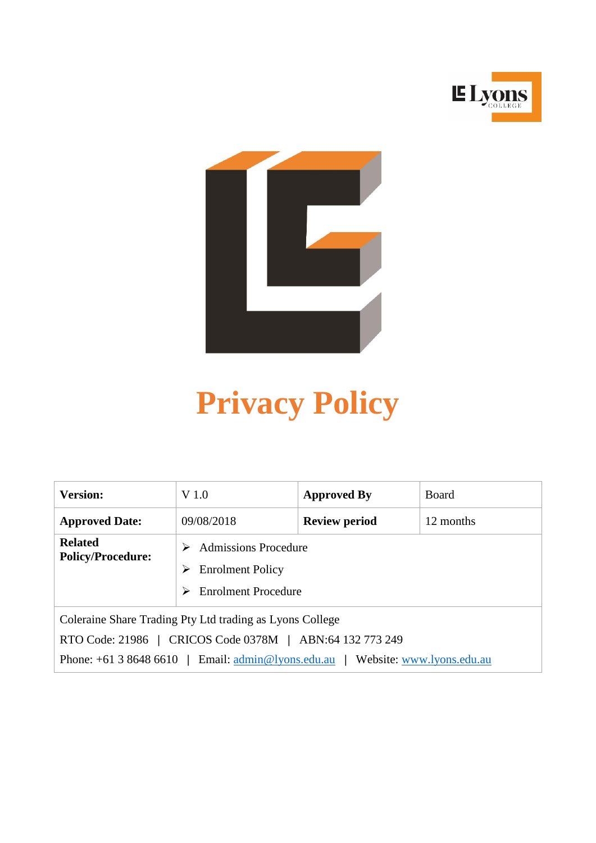



# **Privacy Policy**

| <b>Version:</b>                                                                                                      | V 1.0                                                                              | <b>Approved By</b>   | <b>Board</b> |
|----------------------------------------------------------------------------------------------------------------------|------------------------------------------------------------------------------------|----------------------|--------------|
| <b>Approved Date:</b>                                                                                                | 09/08/2018                                                                         | <b>Review period</b> | 12 months    |
| <b>Related</b><br><b>Policy/Procedure:</b>                                                                           | Admissions Procedure<br><b>Enrolment Policy</b><br>➤<br><b>Enrolment Procedure</b> |                      |              |
| Coleraine Share Trading Pty Ltd trading as Lyons College<br>RTO Code: 21986   CRICOS Code 0378M   ABN:64 132 773 249 |                                                                                    |                      |              |
| Phone: $+61386486610$   Email: $\text{admin@lyons.edu.au}$  <br>Website: www.lyons.edu.au                            |                                                                                    |                      |              |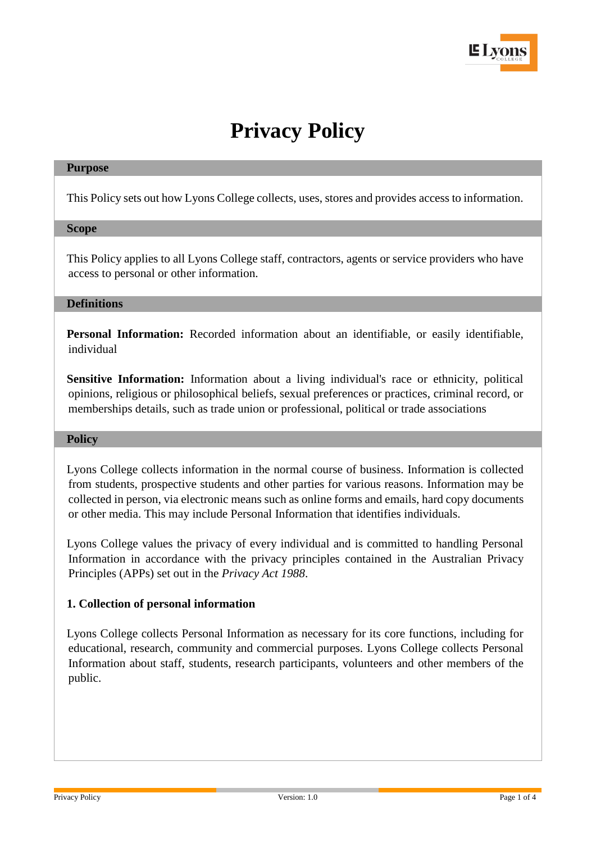

# **Privacy Policy**

#### **Purpose**

This Policy sets out how Lyons College collects, uses, stores and provides access to information.

#### **Scope**

This Policy applies to all Lyons College staff, contractors, agents or service providers who have access to personal or other information.

## **Definitions**

**Personal Information:** Recorded information about an identifiable, or easily identifiable, individual

**Sensitive Information:** Information about a living individual's race or ethnicity, political opinions, religious or philosophical beliefs, sexual preferences or practices, criminal record, or memberships details, such as trade union or professional, political or trade associations

#### **Policy**

Lyons College collects information in the normal course of business. Information is collected from students, prospective students and other parties for various reasons. Information may be collected in person, via electronic means such as online forms and emails, hard copy documents or other media. This may include Personal Information that identifies individuals.

Lyons College values the privacy of every individual and is committed to handling Personal Information in accordance with the privacy principles contained in the Australian Privacy Principles (APPs) set out in the *Privacy Act 1988*.

#### **1. Collection of personal information**

Lyons College collects Personal Information as necessary for its core functions, including for educational, research, community and commercial purposes. Lyons College collects Personal Information about staff, students, research participants, volunteers and other members of the public.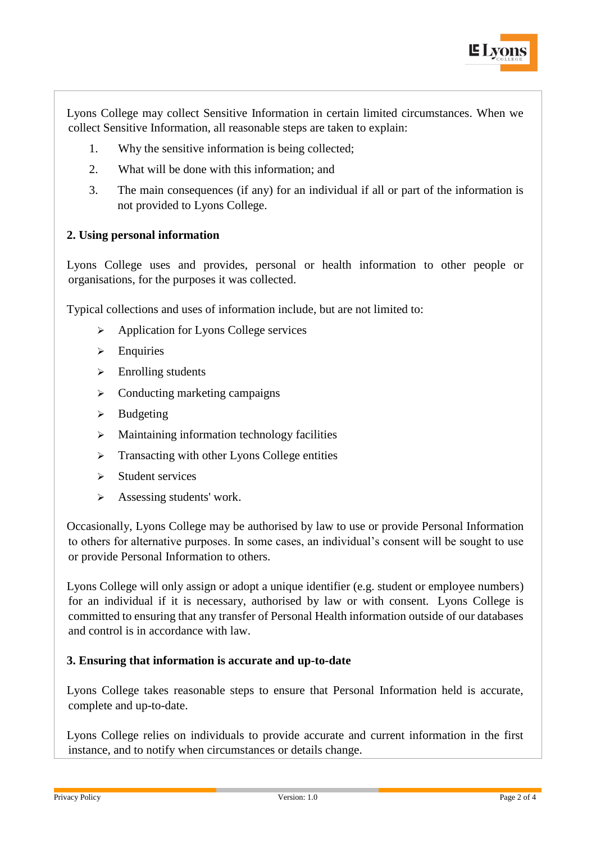

Lyons College may collect Sensitive Information in certain limited circumstances. When we collect Sensitive Information, all reasonable steps are taken to explain:

- 1. Why the sensitive information is being collected;
- 2. What will be done with this information; and
- 3. The main consequences (if any) for an individual if all or part of the information is not provided to Lyons College.

### **2. Using personal information**

Lyons College uses and provides, personal or health information to other people or organisations, for the purposes it was collected.

Typical collections and uses of information include, but are not limited to:

- ➢ Application for Lyons College services
- ➢ Enquiries
- $\triangleright$  Enrolling students
- ➢ Conducting marketing campaigns
- ➢ Budgeting
- $\triangleright$  Maintaining information technology facilities
- ➢ Transacting with other Lyons College entities
- ➢ Student services
- $\triangleright$  Assessing students' work.

Occasionally, Lyons College may be authorised by law to use or provide Personal Information to others for alternative purposes. In some cases, an individual's consent will be sought to use or provide Personal Information to others.

Lyons College will only assign or adopt a unique identifier (e.g. student or employee numbers) for an individual if it is necessary, authorised by law or with consent. Lyons College is committed to ensuring that any transfer of Personal Health information outside of our databases and control is in accordance with law.

### **3. Ensuring that information is accurate and up-to-date**

Lyons College takes reasonable steps to ensure that Personal Information held is accurate, complete and up-to-date.

Lyons College relies on individuals to provide accurate and current information in the first instance, and to notify when circumstances or details change.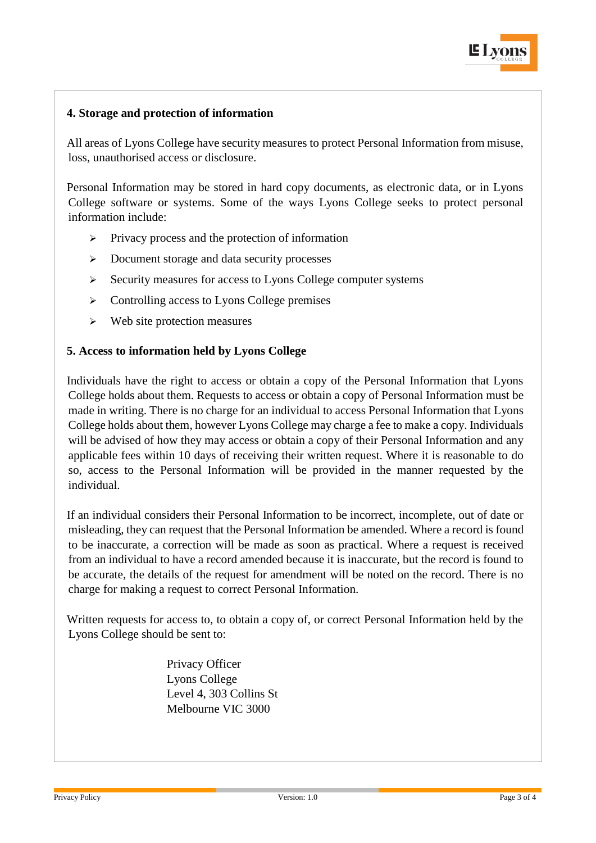

# **4. Storage and protection of information**

All areas of Lyons College have security measures to protect Personal Information from misuse, loss, unauthorised access or disclosure.

Personal Information may be stored in hard copy documents, as electronic data, or in Lyons College software or systems. Some of the ways Lyons College seeks to protect personal information include:

- ➢ Privacy process and the protection of information
- ➢ Document storage and data security processes
- ➢ Security measures for access to Lyons College computer systems
- ➢ Controlling access to Lyons College premises
- ➢ Web site protection measures

#### **5. Access to information held by Lyons College**

Individuals have the right to access or obtain a copy of the Personal Information that Lyons College holds about them. Requests to access or obtain a copy of Personal Information must be made in writing. There is no charge for an individual to access Personal Information that Lyons College holds about them, however Lyons College may charge a fee to make a copy. Individuals will be advised of how they may access or obtain a copy of their Personal Information and any applicable fees within 10 days of receiving their written request. Where it is reasonable to do so, access to the Personal Information will be provided in the manner requested by the individual.

If an individual considers their Personal Information to be incorrect, incomplete, out of date or misleading, they can request that the Personal Information be amended. Where a record is found to be inaccurate, a correction will be made as soon as practical. Where a request is received from an individual to have a record amended because it is inaccurate, but the record is found to be accurate, the details of the request for amendment will be noted on the record. There is no charge for making a request to correct Personal Information.

Written requests for access to, to obtain a copy of, or correct Personal Information held by the Lyons College should be sent to:

> Privacy Officer Lyons College Level 4, 303 Collins St Melbourne VIC 3000